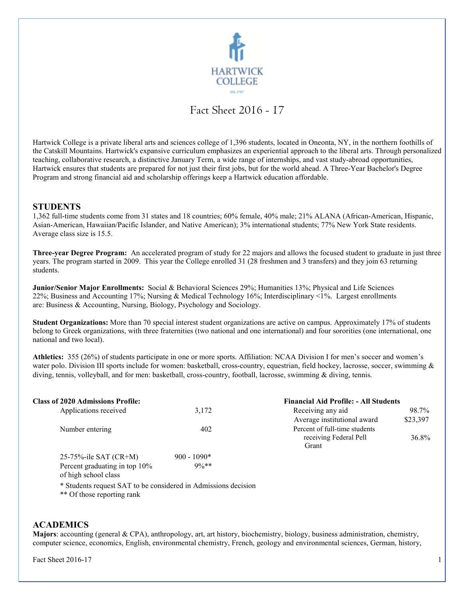

# Fact Sheet 2016 - 17

Hartwick College is a private liberal arts and sciences college of 1,396 students, located in Oneonta, NY, in the northern foothills of the Catskill Mountains. Hartwick's expansive curriculum emphasizes an experiential approach to the liberal arts. Through personalized teaching, collaborative research, a distinctive January Term, a wide range of internships, and vast study-abroad opportunities, Hartwick ensures that students are prepared for not just their first jobs, but for the world ahead. A Three-Year Bachelor's Degree Program and strong financial aid and scholarship offerings keep a Hartwick education affordable.

### **STUDENTS**

1,362 full-time students come from 31 states and 18 countries; 60% female, 40% male; 21% ALANA (African-American, Hispanic, Asian-American, Hawaiian/Pacific Islander, and Native American); 3% international students; 77% New York State residents. Average class size is 15.5.

**Three-year Degree Program:** An accelerated program of study for 22 majors and allows the focused student to graduate in just three years. The program started in 2009. This year the College enrolled 31 (28 freshmen and 3 transfers) and they join 63 returning students.

**Junior/Senior Major Enrollments:** Social & Behavioral Sciences 29%; Humanities 13%; Physical and Life Sciences 22%; Business and Accounting 17%; Nursing & Medical Technology 16%; Interdisciplinary <1%. Largest enrollments are: Business & Accounting, Nursing, Biology, Psychology and Sociology.

**Student Organizations:** More than 70 special interest student organizations are active on campus. Approximately 17% of students belong to Greek organizations, with three fraternities (two national and one international) and four sororities (one international, one national and two local).

**Athletics:** 355 (26%) of students participate in one or more sports. Affiliation: NCAA Division I for men's soccer and women's water polo. Division III sports include for women: basketball, cross-country, equestrian, field hockey, lacrosse, soccer, swimming & diving, tennis, volleyball, and for men: basketball, cross-country, football, lacrosse, swimming & diving, tennis.

| <b>Class of 2020 Admissions Profile:</b>              |               | <b>Financial Aid Profile: - All Students</b>                     |          |
|-------------------------------------------------------|---------------|------------------------------------------------------------------|----------|
| Applications received                                 | 3,172         | Receiving any aid                                                | 98.7%    |
|                                                       |               | Average institutional award                                      | \$23,397 |
| Number entering                                       | 402           | Percent of full-time students<br>receiving Federal Pell<br>Grant | 36.8%    |
| 25-75%-ile SAT $(CR+M)$                               | $900 - 1090*$ |                                                                  |          |
| Percent graduating in top 10%<br>of high school class | $9\%**$       |                                                                  |          |

\* Students request SAT to be considered in Admissions decision

\*\* Of those reporting rank

## **ACADEMICS**

**Majors**: accounting (general & CPA), anthropology, art, art history, biochemistry, biology, business administration, chemistry, computer science, economics, English, environmental chemistry, French, geology and environmental sciences, German, history,

Fact Sheet 2016-17 1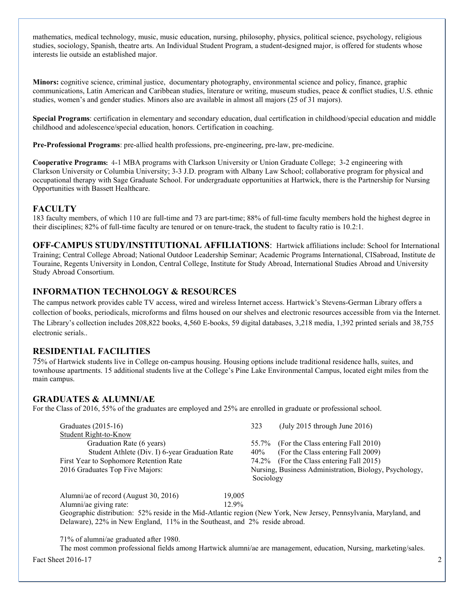mathematics, medical technology, music, music education, nursing, philosophy, physics, political science, psychology, religious studies, sociology, Spanish, theatre arts. An Individual Student Program, a student-designed major, is offered for students whose interests lie outside an established major.

**Minors:** cognitive science, criminal justice, documentary photography, environmental science and policy, finance, graphic communications, Latin American and Caribbean studies, literature or writing, museum studies, peace & conflict studies, U.S. ethnic studies, women's and gender studies. Minors also are available in almost all majors (25 of 31 majors).

**Special Programs**: certification in elementary and secondary education, dual certification in childhood/special education and middle childhood and adolescence/special education, honors. Certification in coaching.

**Pre-Professional Programs**: pre-allied health professions, pre-engineering, pre-law, pre-medicine.

**Cooperative Programs**: 4-1 MBA programs with Clarkson University or Union Graduate College; 3-2 engineering with Clarkson University or Columbia University; 3-3 J.D. program with Albany Law School; collaborative program for physical and occupational therapy with Sage Graduate School. For undergraduate opportunities at Hartwick, there is the Partnership for Nursing Opportunities with Bassett Healthcare.

## **FACULTY**

183 faculty members, of which 110 are full-time and 73 are part-time; 88% of full-time faculty members hold the highest degree in their disciplines; 82% of full-time faculty are tenured or on tenure-track, the student to faculty ratio is 10.2:1.

**OFF-CAMPUS STUDY/INSTITUTIONAL AFFILIATIONS**: Hartwick affiliations include: School for International Training; Central College Abroad; National Outdoor Leadership Seminar; Academic Programs International, CISabroad, Institute de Touraine, Regents University in London, Central College, Institute for Study Abroad, International Studies Abroad and University Study Abroad Consortium.

# **INFORMATION TECHNOLOGY & RESOURCES**

The campus network provides cable TV access, wired and wireless Internet access. Hartwick's Stevens-German Library offers a collection of books, periodicals, microforms and films housed on our shelves and electronic resources accessible from via the Internet. The Library's collection includes 208,822 books, 4,560 E-books, 59 digital databases, 3,218 media, 1,392 printed serials and 38,755 electronic serials..

## **RESIDENTIAL FACILITIES**

75% of Hartwick students live in College on-campus housing. Housing options include traditional residence halls, suites, and townhouse apartments. 15 additional students live at the College's Pine Lake Environmental Campus, located eight miles from the main campus.

### **GRADUATES & ALUMNI/AE**

For the Class of 2016, 55% of the graduates are employed and 25% are enrolled in graduate or professional school.

| Graduates $(2015-16)$                           | 323       | (July 2015 through June 2016)                          |
|-------------------------------------------------|-----------|--------------------------------------------------------|
| Student Right-to-Know                           |           |                                                        |
| Graduation Rate (6 years)                       | 55.7%     | (For the Class entering Fall 2010)                     |
| Student Athlete (Div. I) 6-year Graduation Rate | 40%       | (For the Class entering Fall 2009)                     |
| First Year to Sophomore Retention Rate          |           | 74.2% (For the Class entering Fall 2015)               |
| 2016 Graduates Top Five Majors:                 |           | Nursing, Business Administration, Biology, Psychology, |
|                                                 | Sociology |                                                        |
|                                                 |           |                                                        |

Alumni/ae of record (August 30, 2016) 19,005 Alumni/ae giving rate: 12.9% Geographic distribution: 52% reside in the Mid-Atlantic region (New York, New Jersey, Pennsylvania, Maryland, and Delaware), 22% in New England, 11% in the Southeast, and 2% reside abroad.

71% of alumni/ae graduated after 1980.

**Fact Sheet 2016-17** 2 The most common professional fields among Hartwick alumni/ae are management, education, Nursing, marketing/sales.